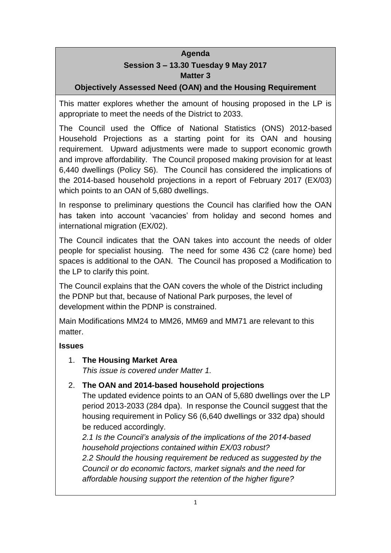# **Agenda Session 3 – 13.30 Tuesday 9 May 2017 Matter 3**

# **Objectively Assessed Need (OAN) and the Housing Requirement**

This matter explores whether the amount of housing proposed in the LP is appropriate to meet the needs of the District to 2033.

The Council used the Office of National Statistics (ONS) 2012-based Household Projections as a starting point for its OAN and housing requirement. Upward adjustments were made to support economic growth and improve affordability. The Council proposed making provision for at least 6,440 dwellings (Policy S6). The Council has considered the implications of the 2014-based household projections in a report of February 2017 (EX/03) which points to an OAN of 5,680 dwellings.

In response to preliminary questions the Council has clarified how the OAN has taken into account 'vacancies' from holiday and second homes and international migration (EX/02).

The Council indicates that the OAN takes into account the needs of older people for specialist housing. The need for some 436 C2 (care home) bed spaces is additional to the OAN. The Council has proposed a Modification to the LP to clarify this point.

The Council explains that the OAN covers the whole of the District including the PDNP but that, because of National Park purposes, the level of development within the PDNP is constrained.

Main Modifications MM24 to MM26, MM69 and MM71 are relevant to this matter.

# **Issues**

1. **The Housing Market Area**

*This issue is covered under Matter 1.*

# 2. **The OAN and 2014-based household projections**

The updated evidence points to an OAN of 5,680 dwellings over the LP period 2013-2033 (284 dpa). In response the Council suggest that the housing requirement in Policy S6 (6,640 dwellings or 332 dpa) should be reduced accordingly.

*2.1 Is the Council's analysis of the implications of the 2014-based household projections contained within EX/03 robust?*

*2.2 Should the housing requirement be reduced as suggested by the Council or do economic factors, market signals and the need for affordable housing support the retention of the higher figure?*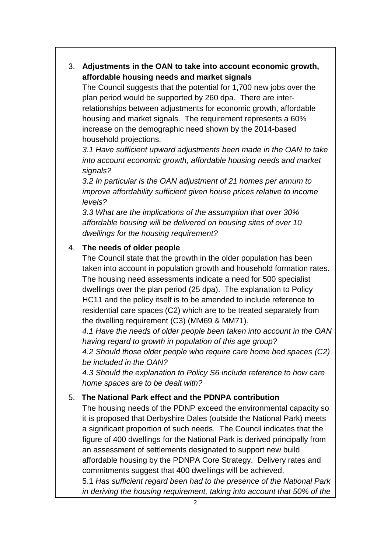3. **Adjustments in the OAN to take into account economic growth, affordable housing needs and market signals**

The Council suggests that the potential for 1,700 new jobs over the plan period would be supported by 260 dpa. There are interrelationships between adjustments for economic growth, affordable housing and market signals. The requirement represents a 60% increase on the demographic need shown by the 2014-based household projections.

*3.1 Have sufficient upward adjustments been made in the OAN to take into account economic growth, affordable housing needs and market signals?*

*3.2 In particular is the OAN adjustment of 21 homes per annum to improve affordability sufficient given house prices relative to income levels?*

*3.3 What are the implications of the assumption that over 30% affordable housing will be delivered on housing sites of over 10 dwellings for the housing requirement?*

#### 4. **The needs of older people**

The Council state that the growth in the older population has been taken into account in population growth and household formation rates. The housing need assessments indicate a need for 500 specialist dwellings over the plan period (25 dpa). The explanation to Policy HC11 and the policy itself is to be amended to include reference to residential care spaces (C2) which are to be treated separately from the dwelling requirement (C3) (MM69 & MM71).

*4.1 Have the needs of older people been taken into account in the OAN having regard to growth in population of this age group?*

*4.2 Should those older people who require care home bed spaces (C2) be included in the OAN?*

*4.3 Should the explanation to Policy S6 include reference to how care home spaces are to be dealt with?*

# 5. **The National Park effect and the PDNPA contribution**

The housing needs of the PDNP exceed the environmental capacity so it is proposed that Derbyshire Dales (outside the National Park) meets a significant proportion of such needs. The Council indicates that the figure of 400 dwellings for the National Park is derived principally from an assessment of settlements designated to support new build affordable housing by the PDNPA Core Strategy. Delivery rates and commitments suggest that 400 dwellings will be achieved. 5.1 *Has sufficient regard been had to the presence of the National Park* 

*in deriving the housing requirement, taking into account that 50% of the*